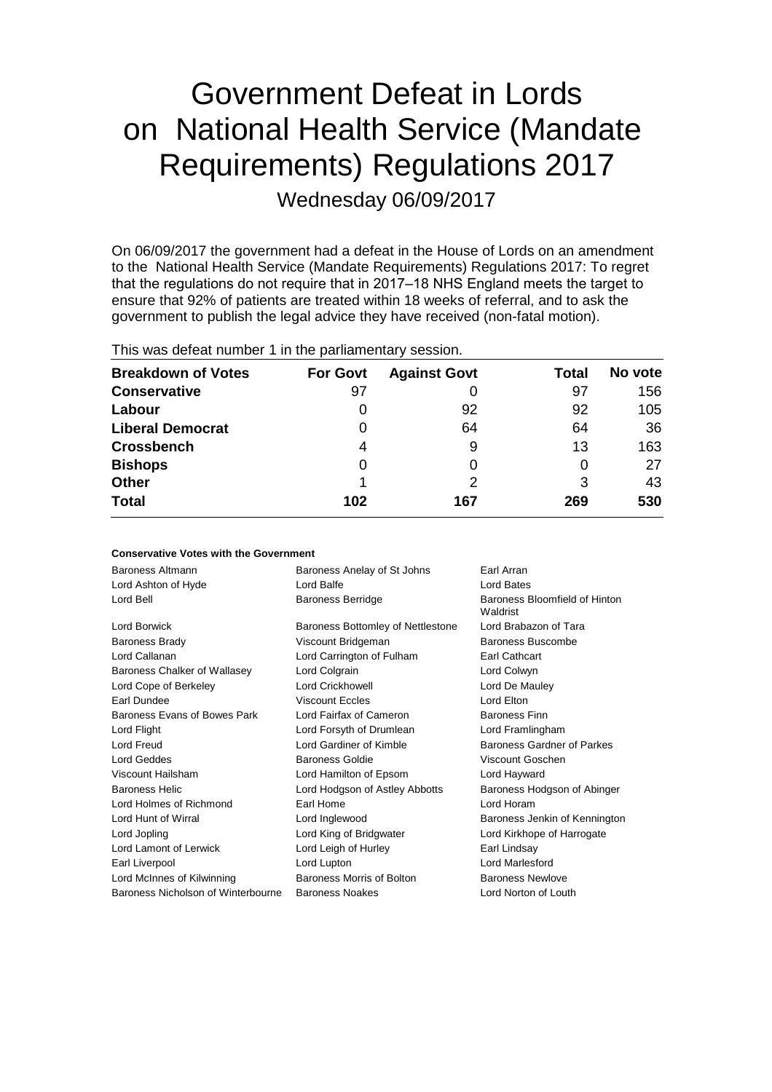# Government Defeat in Lords on National Health Service (Mandate Requirements) Regulations 2017 Wednesday 06/09/2017

On 06/09/2017 the government had a defeat in the House of Lords on an amendment to the National Health Service (Mandate Requirements) Regulations 2017: To regret that the regulations do not require that in 2017–18 NHS England meets the target to ensure that 92% of patients are treated within 18 weeks of referral, and to ask the government to publish the legal advice they have received (non-fatal motion).

| This was abloat harmoof Thi the parliamentary occoloring |                 |                     |       |         |  |
|----------------------------------------------------------|-----------------|---------------------|-------|---------|--|
| <b>Breakdown of Votes</b>                                | <b>For Govt</b> | <b>Against Govt</b> | Total | No vote |  |
| <b>Conservative</b>                                      | 97              |                     | 97    | 156     |  |
| Labour                                                   |                 | 92                  | 92    | 105     |  |
| <b>Liberal Democrat</b>                                  | 0               | 64                  | 64    | 36      |  |
| <b>Crossbench</b>                                        | 4               | 9                   | 13    | 163     |  |
| <b>Bishops</b>                                           | 0               |                     | 0     | 27      |  |
| <b>Other</b>                                             |                 | 2                   | 3     | 43      |  |
| <b>Total</b>                                             | 102             | 167                 | 269   | 530     |  |
|                                                          |                 |                     |       |         |  |

This was defeat number 1 in the parliamentary session.

### **Conservative Votes with the Government**

| Baroness Altmann                   | Baroness Anelay of St Johns       | Earl Arran                                |
|------------------------------------|-----------------------------------|-------------------------------------------|
| Lord Ashton of Hyde                | Lord Balfe                        | Lord Bates                                |
| Lord Bell                          | <b>Baroness Berridge</b>          | Baroness Bloomfield of Hinton<br>Waldrist |
| <b>Lord Borwick</b>                | Baroness Bottomley of Nettlestone | Lord Brabazon of Tara                     |
| <b>Baroness Brady</b>              | Viscount Bridgeman                | Baroness Buscombe                         |
| Lord Callanan                      | Lord Carrington of Fulham         | <b>Earl Cathcart</b>                      |
| Baroness Chalker of Wallasey       | Lord Colgrain                     | Lord Colwyn                               |
| Lord Cope of Berkeley              | Lord Crickhowell                  | Lord De Mauley                            |
| Earl Dundee                        | <b>Viscount Eccles</b>            | Lord Elton                                |
| Baroness Evans of Bowes Park       | Lord Fairfax of Cameron           | <b>Baroness Finn</b>                      |
| Lord Flight                        | Lord Forsyth of Drumlean          | Lord Framlingham                          |
| <b>Lord Freud</b>                  | Lord Gardiner of Kimble           | Baroness Gardner of Parkes                |
| Lord Geddes                        | Baroness Goldie                   | Viscount Goschen                          |
| Viscount Hailsham                  | Lord Hamilton of Epsom            | Lord Hayward                              |
| <b>Baroness Helic</b>              | Lord Hodgson of Astley Abbotts    | Baroness Hodgson of Abinger               |
| Lord Holmes of Richmond            | Earl Home                         | Lord Horam                                |
| Lord Hunt of Wirral                | Lord Inglewood                    | Baroness Jenkin of Kennington             |
| Lord Jopling                       | Lord King of Bridgwater           | Lord Kirkhope of Harrogate                |
| Lord Lamont of Lerwick             | Lord Leigh of Hurley              | Earl Lindsay                              |
| Earl Liverpool                     | Lord Lupton                       | Lord Marlesford                           |
| Lord McInnes of Kilwinning         | Baroness Morris of Bolton         | <b>Baroness Newlove</b>                   |
| Baroness Nicholson of Winterbourne | <b>Baroness Noakes</b>            | Lord Norton of Louth                      |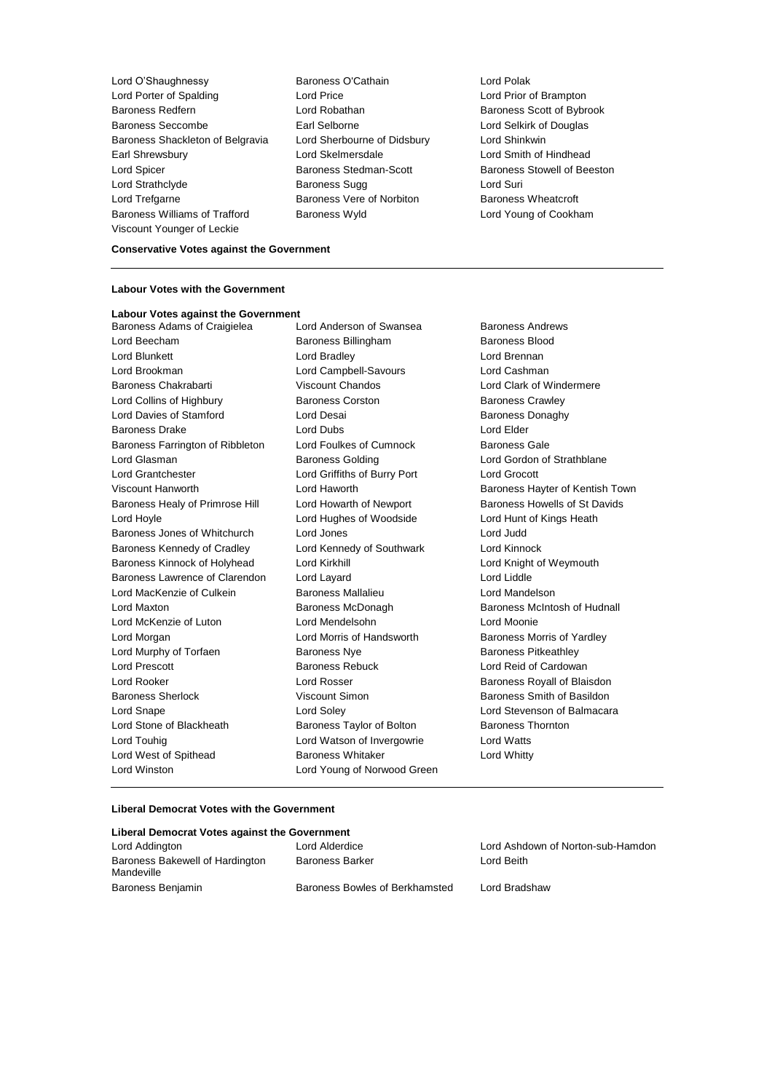Lord O'Shaughnessy **Baroness O'Cathain** Lord Polak<br>
Lord Porter of Spalding Lord Price Lord Price **Lord Price** Lord Prior t Lord Porter of Spalding Lord Price Lord Prior of Brampton Baroness Redfern **Baroness Redfern** Lord Robathan **Baroness Scott of Bybrook** Baroness Seccombe Earl Selborne Lord Selkirk of Douglas Baroness Shackleton of Belgravia Lord Sherbourne of Didsbury Lord Shinkwin Earl Shrewsbury Lord Skelmersdale Lord Smith of Hindhead Lord Spicer Baroness Stedman-Scott Baroness Stowell of Beeston Lord Strathclyde **Baroness Sugg Lord Suri** Lord Trefgarne **Baroness Vere of Norbiton** Baroness Wheatcroft Baroness Williams of Trafford Baroness Wyld Lord Young of Cookham Viscount Younger of Leckie

### **Conservative Votes against the Government**

#### **Labour Votes with the Government**

**Labour Votes against the Government** Baroness Adams of Craigielea Lord Anderson of Swansea Baroness Andrews Lord Beecham Baroness Billingham Baroness Blood Lord Blunkett **Lord Bradley** Lord Brennan Lord Brookman Lord Campbell-Savours Lord Cashman Baroness Chakrabarti **Viscount Chandos Lord Clark of Windermere** Lord Collins of Highbury Baroness Corston Baroness Crawley Lord Davies of Stamford Lord Desai **Baroness Donaghy** Baroness Drake Lord Dubs Lord Elder Baroness Farrington of Ribbleton Lord Foulkes of Cumnock Baroness Gale Lord Glasman **Baroness Golding Baroness Golding Lord Gordon of Strathblane** Lord Grantchester Lord Griffiths of Burry Port Lord Grocott Viscount Hanworth Lord Haworth Baroness Hayter of Kentish Town Baroness Healy of Primrose Hill Lord Howarth of Newport Baroness Howells of St Davids Lord Hoyle Lord Hughes of Woodside Lord Hunt of Kings Heath Baroness Jones of Whitchurch Lord Jones Lord Judd Baroness Kennedy of Cradley Lord Kennedy of Southwark Lord Kinnock Baroness Kinnock of Holyhead Lord Kirkhill Lord Knight of Weymouth Baroness Lawrence of Clarendon Lord Layard Lord Liddle Lord MacKenzie of Culkein Baroness Mallalieu Lord Mandelson Lord Maxton **Baroness McDonagh** Baroness McDonagh Baroness McIntosh of Hudnall Lord McKenzie of Luton Lord Mendelsohn Lord Moonie Lord Morgan **Lord Morris of Handsworth** Baroness Morris of Yardley Lord Murphy of Torfaen Baroness Nye Baroness Prikeathley Lord Prescott Baroness Rebuck Lord Reid of Cardowan Lord Rooker **Lord Rosser** Lord Rosser **Baroness Royall of Blaisdon** Baroness Sherlock Viscount Simon Baroness Smith of Basildon Lord Snape Lord Soley Lord Stevenson of Balmacara Lord Stone of Blackheath Baroness Taylor of Bolton Baroness Thornton Lord Touhig Lord Watson of Invergowrie Lord Watts Lord West of Spithead **Baroness Whitaker Lord Whitty** Lord Winston Lord Young of Norwood Green

#### **Liberal Democrat Votes with the Government**

| Liberal Democrat Votes against the Government |                                |                                   |  |  |
|-----------------------------------------------|--------------------------------|-----------------------------------|--|--|
| Lord Addington                                | Lord Alderdice                 | Lord Ashdown of Norton-sub-Hamdon |  |  |
| Baroness Bakewell of Hardington<br>Mandeville | <b>Baroness Barker</b>         | Lord Beith                        |  |  |
| Baroness Benjamin                             | Baroness Bowles of Berkhamsted | Lord Bradshaw                     |  |  |